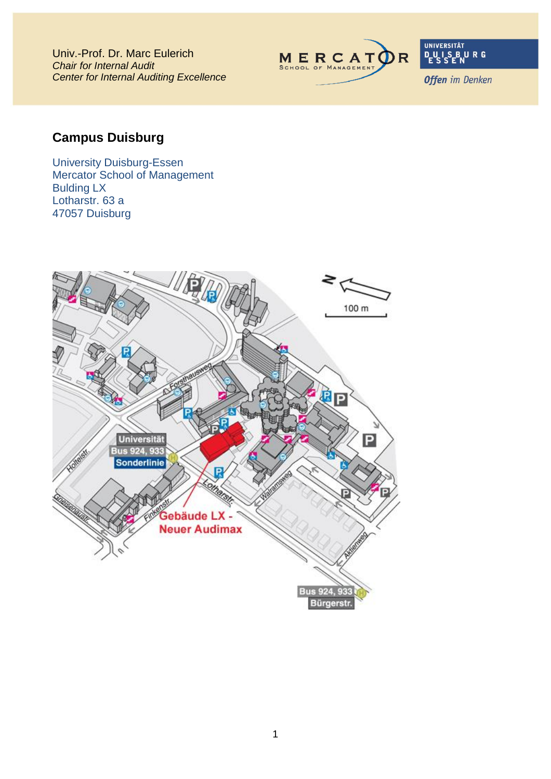Univ.-Prof. Dr. Marc Eulerich *Chair for Internal Audit Center for Internal Auditing Excellence*



UNIVERSITÄT<br>**D\_U\_I\_S\_B\_U\_R\_G**<br>E\_S\_S\_E\_N

**Offen** im Denken

# **Campus Duisburg**

University Duisburg-Essen Mercator School of Management Bulding LX Lotharstr. 63 a 47057 Duisburg